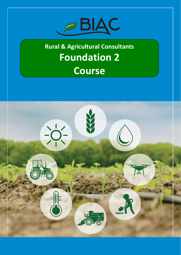

## **Rural & Agricultural Consultants Foundation 2 Course**

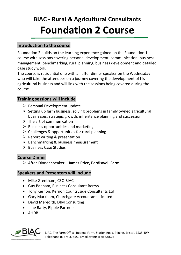## **BIAC - Rural & Agricultural Consultants Foundation 2 Course**

#### **Introduction to the course**

Foundation 2 builds on the learning experience gained on the Foundation 1 course with sessions covering personal development, communication, business management, benchmarking, rural planning, business development and detailed case study work.

The course is residential one with an after dinner speaker on the Wednesday who will take the attendees on a journey covering the development of his agricultural business and will link with the sessions being covered during the course.

#### **Training sessions will include**

- ➢ Personal Development update
- ➢ Setting up farm business, solving problems in family owned agricultural businesses, strategic growth, inheritance planning and succession
- $\triangleright$  The art of communication
- $\triangleright$  Business opportunities and marketing
- ➢ Challenges & opportunities for rural planning
- $\triangleright$  Report writing & presentation
- $\triangleright$  Benchmarking & business measurement
- ➢ Business Case Studies

#### **Course Dinner**

➢ After-Dinner speaker – **James Price, Perdiswell Farm**

#### **Speakers and Presenters will include**

- Mike Greetham, CEO BIAC
- Guy Banham, Business Consultant Berrys
- Tony Kernon, Kernon Countryside Consultants Ltd
- Gary Markham, Churchgate Accountants Limited
- David Meredith, DJM Consulting
- Jane Batty, Ripple Partners
- AHDB



BIAC, The Farm Office, Redend Farm, Station Road, Plining, Bristol, BS35 4JW Telephone 01275 375559 Email events@biac.co.uk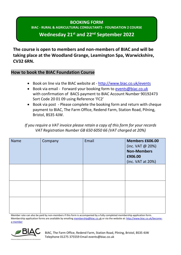#### **BOOKING FORM BIAC - RURAL & AGRICULTURAL CONSULTANTS - FOUNDATION 2 COURSE**

### **Wednesday 21st and 22nd September 2022**

**The course is open to members and non-members of BIAC and will be taking place at the Woodland Grange, Leamington Spa, Warwickshire, CV32 6RN.**

#### **How to book the BIAC Foundation Course**

- Book on line via the BIAC website at <http://www.biac.co.uk/events>
- Book via email Forward your booking form to [events@biac.co.uk](mailto:events@biac.co.uk) with confirmation of BACS payment to BIAC Account Number 90192473 Sort Code 20 01 09 using Reference 'FC2'
- Book via post Please complete the booking form and return with cheque payment to BIAC, The Farm Office, Redend Farm, Station Road, Pilning, Bristol, BS35 4JW.

*If you require a VAT invoice please retain a copy of this form for your records VAT Registration Number GB 650 6050 66 (VAT charged at 20%)*

| <b>Name</b> | Company | Email | <b>Members £606.00</b><br>(inc. VAT @ 20%)<br><b>Non-Members</b><br>£906.00<br>(inc. VAT at 20%) |
|-------------|---------|-------|--------------------------------------------------------------------------------------------------|
|             |         |       |                                                                                                  |
|             |         |       |                                                                                                  |
|             |         |       |                                                                                                  |

Member rate can also be paid by non-members if this form is accompanied by a fully completed membership application form. Membership application forms are available by emailin[g membership@biac.co.](mailto:membership@biac.co)uk or via the website at[: http://www.biac.co.uk/become](http://www.biac.co.uk/become-a-member)[a-member](http://www.biac.co.uk/become-a-member)



BIAC, The Farm Office, Redend Farm, Station Road, Plining, Bristol, BS35 4JW Telephone 01275 375559 Email events@biac.co.uk